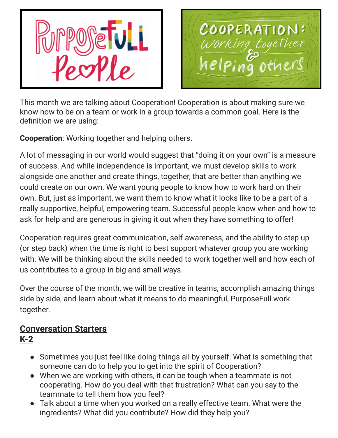



This month we are talking about Cooperation! Cooperation is about making sure we know how to be on a team or work in a group towards a common goal. Here is the definition we are using:

**Cooperation**: Working together and helping others.

A lot of messaging in our world would suggest that "doing it on your own" is a measure of success. And while independence is important, we must develop skills to work alongside one another and create things, together, that are better than anything we could create on our own. We want young people to know how to work hard on their own. But, just as important, we want them to know what it looks like to be a part of a really supportive, helpful, empowering team. Successful people know when and how to ask for help and are generous in giving it out when they have something to offer!

Cooperation requires great communication, self-awareness, and the ability to step up (or step back) when the time is right to best support whatever group you are working with. We will be thinking about the skills needed to work together well and how each of us contributes to a group in big and small ways.

Over the course of the month, we will be creative in teams, accomplish amazing things side by side, and learn about what it means to do meaningful, PurposeFull work together.

#### **Conversation Starters K-2**

- Sometimes you just feel like doing things all by yourself. What is something that someone can do to help you to get into the spirit of Cooperation?
- When we are working with others, it can be tough when a teammate is not cooperating. How do you deal with that frustration? What can you say to the teammate to tell them how you feel?
- Talk about a time when you worked on a really effective team. What were the ingredients? What did you contribute? How did they help you?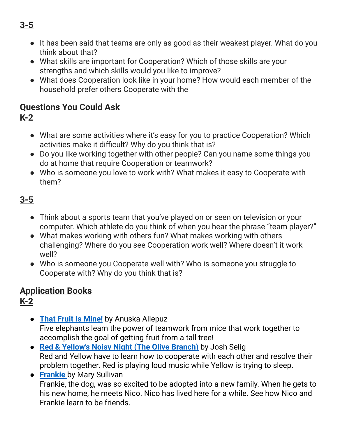● It has been said that teams are only as good as their weakest player. What do you think about that?

- What skills are important for Cooperation? Which of those skills are your strengths and which skills would you like to improve?
- What does Cooperation look like in your home? How would each member of the household prefer others Cooperate with the

### **Questions You Could Ask**

- **K-2**
	- What are some activities where it's easy for you to practice Cooperation? Which activities make it difficult? Why do you think that is?
	- Do you like working together with other people? Can you name some things you do at home that require Cooperation or teamwork?
	- Who is someone you love to work with? What makes it easy to Cooperate with them?

# **3-5**

- Think about a sports team that you've played on or seen on television or your computer. Which athlete do you think of when you hear the phrase "team player?"
- What makes working with others fun? What makes working with others challenging? Where do you see Cooperation work well? Where doesn't it work well?
- Who is someone you Cooperate well with? Who is someone you struggle to Cooperate with? Why do you think that is?

# **Application Books**

- **K-2**
	- **That Fruit Is [Mine!](https://www.amazon.com/That-Fruit-Mine-Anuska-Allepuz/dp/0807578940/ref=as_li_ss_tl?s=books&ie=UTF8&qid=1519067568&sr=1-1&keywords=That+Fruit+Is+Mine!&linkCode=sl1&tag=melitaylonli-20&linkId=3d0c69cb451393adc3270347e75e02f3)** by Anuska Allepuz Five elephants learn the power of teamwork from mice that work together to accomplish the goal of getting fruit from a tall tree!
	- **Red & [Yellow's](https://www.amazon.com/Yellows-Noisy-Night-Olive-Branch/dp/1402790708/ref=sr_1_1?creativeASIN=1402790708&linkCode=w61&imprToken=fgHs1fpEYV5P59kb-ZLSmA&slotNum=0&s=books&ie=UTF8&qid=1336269240&sr=1-1) Noisy Night (The Olive Branch)** by Josh Selig Red and Yellow have to learn how to cooperate with each other and resolve their problem together. Red is playing loud music while Yellow is trying to sleep.
	- **[Frankie](https://www.amazon.com/Frankie-Mary-Sullivan/dp/0544611136/ref=as_li_ss_tl?s=books&ie=UTF8&qid=1495127190&sr=1-1&keywords=Frankie&linkCode=sl1&tag=melitaylonli-20&linkId=24b253c95d03d9e938015a9167900fc3)** by Mary Sullivan Frankie, the dog, was so excited to be adopted into a new family. When he gets to his new home, he meets Nico. Nico has lived here for a while. See how Nico and Frankie learn to be friends.

# **3-5**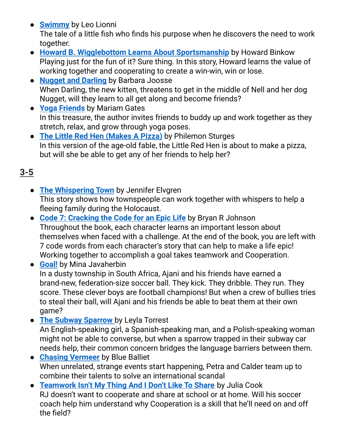**• [Swimmy](https://www.amazon.com/dp/B006N56YL0/ref=dp-kindle-redirect?_encoding=UTF8&btkr=1)** by Leo Lionni

The tale of a little fish who finds his purpose when he discovers the need to work together.

- **Howard B. Wigglebottom Learns About [Sportsmanship](https://www.amazon.com/Howard-Wigglebottom-Learns-about-Sportsmanship/dp/0982616562/ref=tmm_hrd_swatch_0?_encoding=UTF8&qid=1562979783&sr=1-1)** by Howard Binkow Playing just for the fun of it? Sure thing. In this story, Howard learns the value of working together and cooperating to create a win-win, win or lose.
- **[Nugget](https://www.amazon.com/Nugget-Darling-Barbara-M-Joosse/dp/0395645719/ref=tmm_hrd_swatch_0?_encoding=UTF8&qid=&sr=) and Darling** by Barbara Joosse When Darling, the new kitten, threatens to get in the middle of Nell and her dog Nugget, will they learn to all get along and become friends?
- **Yoga [Friends](https://www.amazon.com/Yoga-Friends-Pose-Pose-Adventure/dp/1622038169/ref=tmm_hrd_swatch_0?_encoding=UTF8&qid=&sr=)** by Mariam Gates In this treasure, the author invites friends to buddy up and work together as they stretch, relax, and grow through yoga poses.
- **The Little Red Hen [\(Makes](https://www.amazon.com/Little-Red-Hen-Makes-Pizza/dp/0142301892) A Pizza)** by Philemon Sturges In this version of the age-old fable, the Little Red Hen is about to make a pizza, but will she be able to get any of her friends to help her?

# **3-5**

- **The [Whispering](https://www.amazon.com/Whispering-Town-Holocaust-Jennifer-Elvgren/dp/1467711950/ref=as_li_ss_tl?ie=UTF8&dpID=51NKPpXLMUL&dpSrc=sims&preST=_AC_UL160_SR131,160_&refRID=14X8K0AMSFKF3B8TF4MP&linkCode=sl1&tag=melitaylonli-20&linkId=3c6ab3eb77aa357d7797435511ff3d2b) Town** by Jennifer Elvgren This story shows how townspeople can work together with whispers to help a fleeing family during the Holocaust.
- **Code 7: [Cracking](https://www.amazon.com/Code-Cracking-Epic-Life/dp/1940556007/ref=sr_1_1?crid=2KGXC7PZPSL1B&keywords=code+7+cracking+the+code+for+an+epic+life&qid=1561156954&s=gateway&sprefix=code+7%2Caps%2C211&sr=8-1) the Code for an Epic Life** by Bryan R Johnson Throughout the book, each character learns an important lesson about themselves when faced with a challenge. At the end of the book, you are left with 7 code words from each character's story that can help to make a life epic! Working together to accomplish a goal takes teamwork and Cooperation.
- **[Goal!](https://www.amazon.com/Goal-Mina-Javaherbin/dp/0763658227/ref=sr_1_1?keywords=goal+by+mina&qid=1561831028&s=gateway&sr=8-1)** by Mina Javaherbin In a dusty township in South Africa, Ajani and his friends have earned a brand-new, federation-size soccer ball. They kick. They dribble. They run. They score. These clever boys are football champions! But when a crew of bullies tries to steal their ball, will Ajani and his friends be able to beat them at their own game?
- **The Subway [Sparrow](https://www.amazon.com/Subway-Sparrow-Sunburst-Book/dp/0374471290/ref=sr_1_1?keywords=The+subway+sparrow&qid=1561831061&s=gateway&sr=8-1)** by Leyla Torrest An English-speaking girl, a Spanish-speaking man, and a Polish-speaking woman might not be able to converse, but when a sparrow trapped in their subway car needs help, their common concern bridges the language barriers between them.
- **Chasing [Vermeer](https://www.amazon.com/Chasing-Vermeer-Scholastic-Gold-Balliett/dp/0439372976/ref=sr_1_1?keywords=chasing+vermeer&qid=1561831127&s=gateway&sr=8-1)** by Blue Balliet When unrelated, strange events start happening, Petra and Calder team up to combine their talents to solve an international scandal
- **[Teamwork](https://www.amazon.com/Teamwork-Isnt-Thing-Dont-Share/dp/1934490350) Isn't My Thing And I Don't Like To Share** by Julia Cook RJ doesn't want to cooperate and share at school or at home. Will his soccer coach help him understand why Cooperation is a skill that he'll need on and off the field?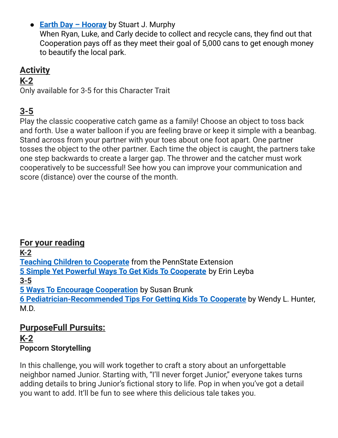● **Earth Day – [Hooray](https://www.amazon.com/Earth-Day-Hooray-MathStart-Stuart-Murphy/dp/0060001291)** by Stuart J. Murphy

When Ryan, Luke, and Carly decide to collect and recycle cans, they find out that Cooperation pays off as they meet their goal of 5,000 cans to get enough money to beautify the local park.

### **Activity**

#### **K-2**

Only available for 3-5 for this Character Trait

### **3-5**

Play the classic cooperative catch game as a family! Choose an object to toss back and forth. Use a water balloon if you are feeling brave or keep it simple with a beanbag. Stand across from your partner with your toes about one foot apart. One partner tosses the object to the other partner. Each time the object is caught, the partners take one step backwards to create a larger gap. The thrower and the catcher must work cooperatively to be successful! See how you can improve your communication and score (distance) over the course of the month.

**For your reading K-2 Teaching Children to [Cooperate](https://extension.psu.edu/programs/betterkidcare/early-care/tip-pages/all/teaching-children-to-cooperate)** from the PennState Extension **5 Simple Yet Powerful Ways To Get Kids To [Cooperate](https://www.psychologytoday.com/us/blog/joyful-parenting/201701/5-simple-yet-powerful-ways-get-kids-cooperate)** by Erin Leyba **3-5 5 Ways To Encourage [Cooperation](https://www.steppingstoneschool.com/5-ways-encourage-cooperation/)** by Susan Brunk **6 [Pediatrician-Recommended](https://www.parents.com/toddlers-preschoolers/development/behavioral/pediatrician-recommended-tips-for-getting-kids-to/) Tips For Getting Kids To Cooperate** by Wendy L. Hunter, M.D.

#### **PurposeFull Pursuits: K-2 Popcorn Storytelling**

In this challenge, you will work together to craft a story about an unforgettable neighbor named Junior. Starting with, "I'll never forget Junior," everyone takes turns adding details to bring Junior's fictional story to life. Pop in when you've got a detail you want to add. It'll be fun to see where this delicious tale takes you.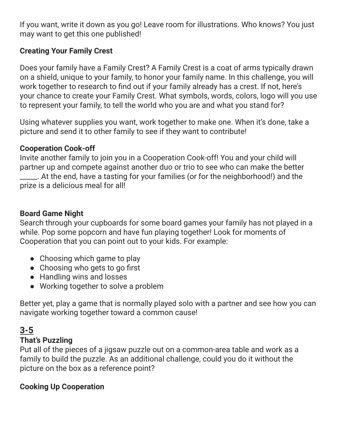If you want, write it down as you go! Leave room for illustrations. Who knows? You just may want to get this one published!

#### **Creating Your Family Crest**

Does your family have a Family Crest? A Family Crest is a coat of arms typically drawn on a shield, unique to your family, to honor your family name. In this challenge, you will work together to research to find out if your family already has a crest. If not, here's your chance to create your Family Crest. What symbols, words, colors, logo will you use to represent your family, to tell the world who you are and what you stand for?

Using whatever supplies you want, work together to make one. When it's done, take a picture and send it to other family to see if they want to contribute!

#### **Cooperation Cook-off**

Invite another family to join you in a Cooperation Cook-off! You and your child will partner up and compete against another duo or trio to see who can make the better \_\_\_\_\_. At the end, have a tasting for your families (or for the neighborhood!) and the prize is a delicious meal for all!

#### **Board Game Night**

Search through your cupboards for some board games your family has not played in a while. Pop some popcorn and have fun playing together! Look for moments of Cooperation that you can point out to your kids. For example:

- Choosing which game to play
- Choosing who gets to go first
- Handling wins and losses
- Working together to solve a problem

Better yet, play a game that is normally played solo with a partner and see how you can navigate working together toward a common cause!

### **3-5**

#### **That's Puzzling**

Put all of the pieces of a jigsaw puzzle out on a common-area table and work as a family to build the puzzle. As an additional challenge, could you do it without the picture on the box as a reference point?

#### **Cooking Up Cooperation**